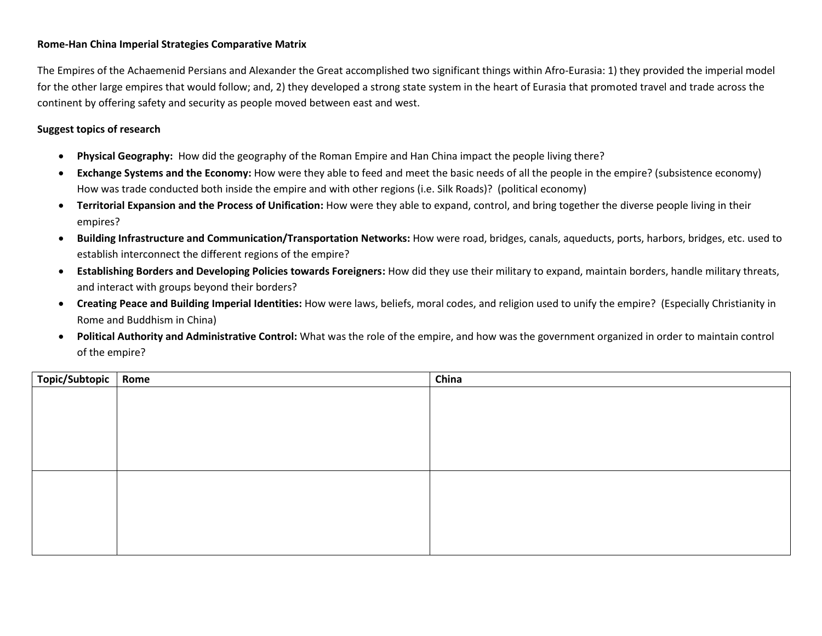## **Rome-Han China Imperial Strategies Comparative Matrix**

The Empires of the Achaemenid Persians and Alexander the Great accomplished two significant things within Afro-Eurasia: 1) they provided the imperial model for the other large empires that would follow; and, 2) they developed a strong state system in the heart of Eurasia that promoted travel and trade across the continent by offering safety and security as people moved between east and west.

## **Suggest topics of research**

- **Physical Geography:** How did the geography of the Roman Empire and Han China impact the people living there?
- **Exchange Systems and the Economy:** How were they able to feed and meet the basic needs of all the people in the empire? (subsistence economy) How was trade conducted both inside the empire and with other regions (i.e. Silk Roads)? (political economy)
- **Territorial Expansion and the Process of Unification:** How were they able to expand, control, and bring together the diverse people living in their empires?
- **Building Infrastructure and Communication/Transportation Networks:** How were road, bridges, canals, aqueducts, ports, harbors, bridges, etc. used to establish interconnect the different regions of the empire?
- **Establishing Borders and Developing Policies towards Foreigners:** How did they use their military to expand, maintain borders, handle military threats, and interact with groups beyond their borders?
- **Creating Peace and Building Imperial Identities:** How were laws, beliefs, moral codes, and religion used to unify the empire? (Especially Christianity in Rome and Buddhism in China)
- **Political Authority and Administrative Control:** What was the role of the empire, and how was the government organized in order to maintain control of the empire?

| Topic/Subtopic | Rome | China |
|----------------|------|-------|
|                |      |       |
|                |      |       |
|                |      |       |
|                |      |       |
|                |      |       |
|                |      |       |
|                |      |       |
|                |      |       |
|                |      |       |
|                |      |       |
|                |      |       |
|                |      |       |